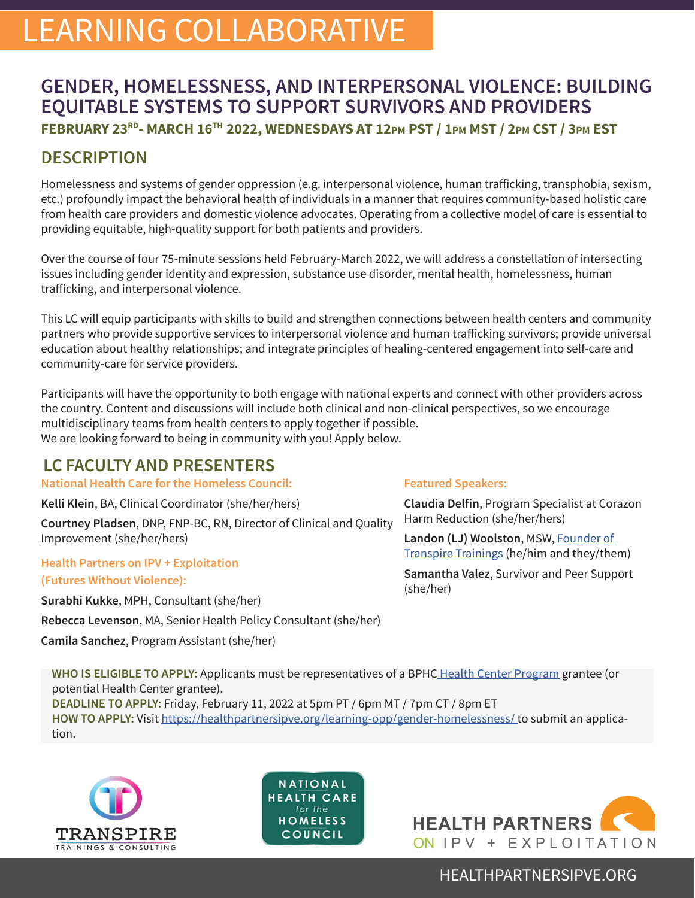# LEARNING COLLABORATIVE

# **GENDER, HOMELESSNESS, AND INTERPERSONAL VIOLENCE: BUILDING EQUITABLE SYSTEMS TO SUPPORT SURVIVORS AND PROVIDERS FEBRUARY 23RD- MARCH 16TH 2022, WEDNESDAYS AT 12pm PST / 1pm MST / 2pm CST / 3pm EST**

# **DESCRIPTION**

Homelessness and systems of gender oppression (e.g. interpersonal violence, human trafficking, transphobia, sexism, etc.) profoundly impact the behavioral health of individuals in a manner that requires community-based holistic care from health care providers and domestic violence advocates. Operating from a collective model of care is essential to providing equitable, high-quality support for both patients and providers.

Over the course of four 75-minute sessions held February-March 2022, we will address a constellation of intersecting issues including gender identity and expression, substance use disorder, mental health, homelessness, human trafficking, and interpersonal violence.

This LC will equip participants with skills to build and strengthen connections between health centers and community partners who provide supportive services to interpersonal violence and human trafficking survivors; provide universal education about healthy relationships; and integrate principles of healing-centered engagement into self-care and community-care for service providers.

Participants will have the opportunity to both engage with national experts and connect with other providers across the country. Content and discussions will include both clinical and non-clinical perspectives, so we encourage multidisciplinary teams from health centers to apply together if possible. We are looking forward to being in community with you! Apply below.

# **LC FACULTY AND PRESENTERS**

**National Health Care for the Homeless Council:** 

**Kelli Klein**, BA, Clinical Coordinator (she/her/hers)

**Courtney Pladsen**, DNP, FNP-BC, RN, Director of Clinical and Quality Improvement (she/her/hers)

**Health Partners on IPV + Exploitation (Futures Without Violence):**

**Surabhi Kukke**, MPH, Consultant (she/her)

**Rebecca Levenson**, MA, Senior Health Policy Consultant (she/her)

**Camila Sanchez**, Program Assistant (she/her)

#### **Featured Speakers:**

**Claudia Delfin**, Program Specialist at Corazon Harm Reduction (she/her/hers)

**Landon (LJ) Woolston**, MSW, [Founder of](https://transpiretrainings.com/)  [Transpire Trainings](https://transpiretrainings.com/) (he/him and they/them)

**Samantha Valez**, Survivor and Peer Support (she/her)

**WHO IS ELIGIBLE TO APPLY:** Applicants must be representatives of a BPHC [Health Center Program](https://bphc.hrsa.gov/about/what-is-a-health-center/index.html) grantee (or potential Health Center grantee). **DEADLINE TO APPLY:** Friday, February 11, 2022 at 5pm PT / 6pm MT / 7pm CT / 8pm ET **HOW TO APPLY:** Visit https://healthpartnersipve.org/learning-opp/gender-homelessness/ to submit an applica-



tion.